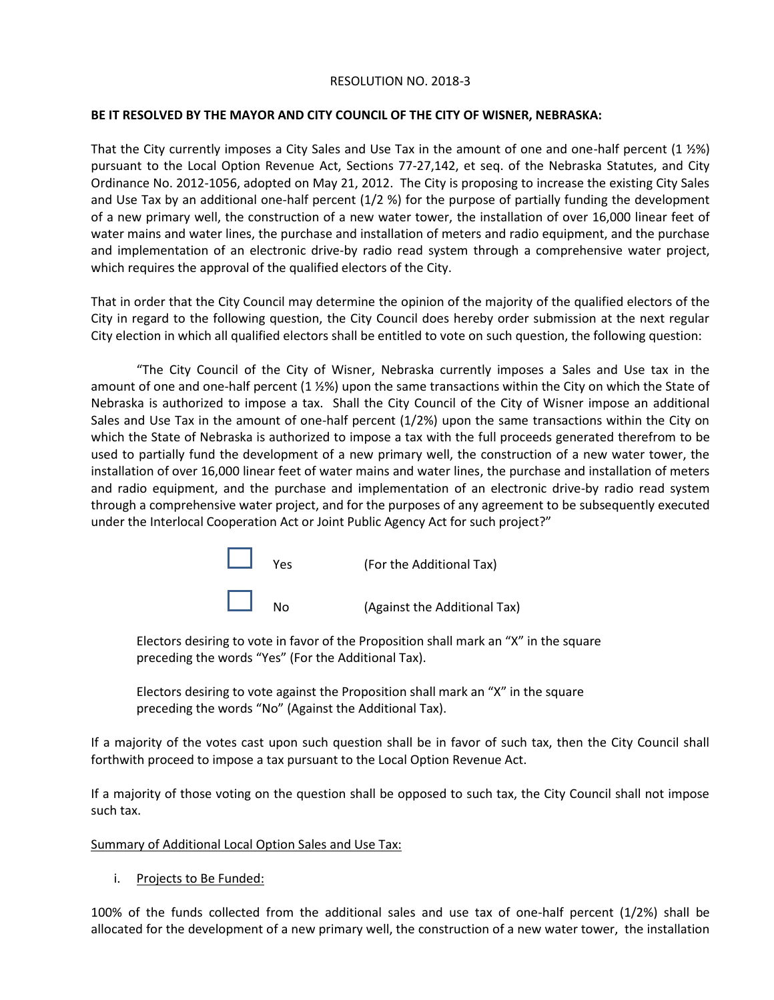## RESOLUTION NO. 2018-3

## **BE IT RESOLVED BY THE MAYOR AND CITY COUNCIL OF THE CITY OF WISNER, NEBRASKA:**

That the City currently imposes a City Sales and Use Tax in the amount of one and one-half percent (1 ½%) pursuant to the Local Option Revenue Act, Sections 77-27,142, et seq. of the Nebraska Statutes, and City Ordinance No. 2012-1056, adopted on May 21, 2012. The City is proposing to increase the existing City Sales and Use Tax by an additional one-half percent (1/2 %) for the purpose of partially funding the development of a new primary well, the construction of a new water tower, the installation of over 16,000 linear feet of water mains and water lines, the purchase and installation of meters and radio equipment, and the purchase and implementation of an electronic drive-by radio read system through a comprehensive water project, which requires the approval of the qualified electors of the City.

That in order that the City Council may determine the opinion of the majority of the qualified electors of the City in regard to the following question, the City Council does hereby order submission at the next regular City election in which all qualified electors shall be entitled to vote on such question, the following question:

"The City Council of the City of Wisner, Nebraska currently imposes a Sales and Use tax in the amount of one and one-half percent (1 ½%) upon the same transactions within the City on which the State of Nebraska is authorized to impose a tax. Shall the City Council of the City of Wisner impose an additional Sales and Use Tax in the amount of one-half percent (1/2%) upon the same transactions within the City on which the State of Nebraska is authorized to impose a tax with the full proceeds generated therefrom to be used to partially fund the development of a new primary well, the construction of a new water tower, the installation of over 16,000 linear feet of water mains and water lines, the purchase and installation of meters and radio equipment, and the purchase and implementation of an electronic drive-by radio read system through a comprehensive water project, and for the purposes of any agreement to be subsequently executed under the Interlocal Cooperation Act or Joint Public Agency Act for such project?"

| $\mathbb{R}^n$ | Yes | (For the Additional Tax)     |
|----------------|-----|------------------------------|
| $\Box$         | Nω  | (Against the Additional Tax) |

Electors desiring to vote in favor of the Proposition shall mark an "X" in the square preceding the words "Yes" (For the Additional Tax).

Electors desiring to vote against the Proposition shall mark an "X" in the square preceding the words "No" (Against the Additional Tax).

If a majority of the votes cast upon such question shall be in favor of such tax, then the City Council shall forthwith proceed to impose a tax pursuant to the Local Option Revenue Act.

If a majority of those voting on the question shall be opposed to such tax, the City Council shall not impose such tax.

## Summary of Additional Local Option Sales and Use Tax:

i. Projects to Be Funded:

100% of the funds collected from the additional sales and use tax of one-half percent (1/2%) shall be allocated for the development of a new primary well, the construction of a new water tower, the installation